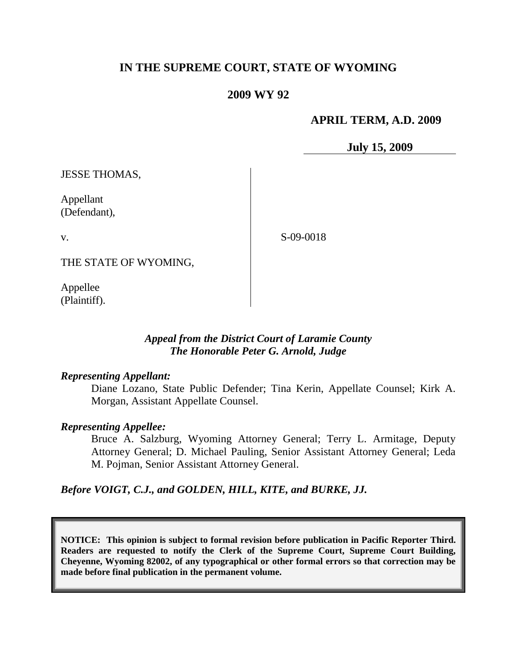# **IN THE SUPREME COURT, STATE OF WYOMING**

## **2009 WY 92**

## **APRIL TERM, A.D. 2009**

**July 15, 2009**

JESSE THOMAS,

Appellant (Defendant),

v.

S-09-0018

THE STATE OF WYOMING,

Appellee (Plaintiff).

## *Appeal from the District Court of Laramie County The Honorable Peter G. Arnold, Judge*

### *Representing Appellant:*

Diane Lozano, State Public Defender; Tina Kerin, Appellate Counsel; Kirk A. Morgan, Assistant Appellate Counsel.

### *Representing Appellee:*

Bruce A. Salzburg, Wyoming Attorney General; Terry L. Armitage, Deputy Attorney General; D. Michael Pauling, Senior Assistant Attorney General; Leda M. Pojman, Senior Assistant Attorney General.

*Before VOIGT, C.J., and GOLDEN, HILL, KITE, and BURKE, JJ.*

**NOTICE: This opinion is subject to formal revision before publication in Pacific Reporter Third. Readers are requested to notify the Clerk of the Supreme Court, Supreme Court Building, Cheyenne, Wyoming 82002, of any typographical or other formal errors so that correction may be made before final publication in the permanent volume.**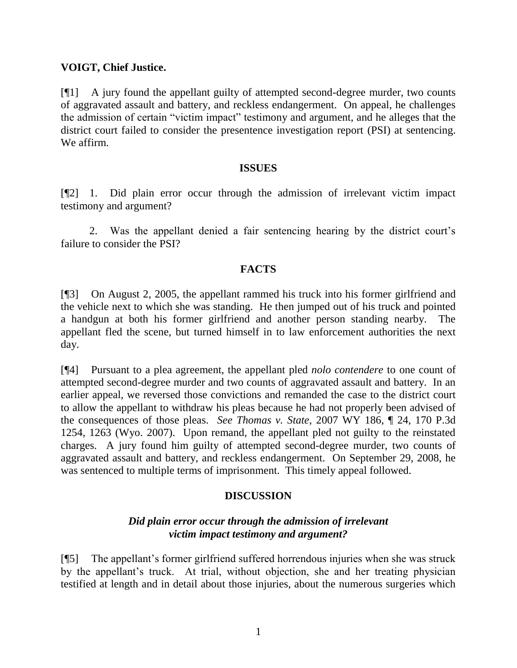## **VOIGT, Chief Justice.**

[¶1] A jury found the appellant guilty of attempted second-degree murder, two counts of aggravated assault and battery, and reckless endangerment. On appeal, he challenges the admission of certain "victim impact" testimony and argument, and he alleges that the district court failed to consider the presentence investigation report (PSI) at sentencing. We affirm.

### **ISSUES**

[¶2] 1. Did plain error occur through the admission of irrelevant victim impact testimony and argument?

2. Was the appellant denied a fair sentencing hearing by the district court"s failure to consider the PSI?

## **FACTS**

[¶3] On August 2, 2005, the appellant rammed his truck into his former girlfriend and the vehicle next to which she was standing. He then jumped out of his truck and pointed a handgun at both his former girlfriend and another person standing nearby. The appellant fled the scene, but turned himself in to law enforcement authorities the next day.

[¶4] Pursuant to a plea agreement, the appellant pled *nolo contendere* to one count of attempted second-degree murder and two counts of aggravated assault and battery. In an earlier appeal, we reversed those convictions and remanded the case to the district court to allow the appellant to withdraw his pleas because he had not properly been advised of the consequences of those pleas. *See Thomas v. State*, 2007 WY 186, ¶ 24, 170 P.3d 1254, 1263 (Wyo. 2007). Upon remand, the appellant pled not guilty to the reinstated charges. A jury found him guilty of attempted second-degree murder, two counts of aggravated assault and battery, and reckless endangerment. On September 29, 2008, he was sentenced to multiple terms of imprisonment. This timely appeal followed.

# **DISCUSSION**

## *Did plain error occur through the admission of irrelevant victim impact testimony and argument?*

[¶5] The appellant"s former girlfriend suffered horrendous injuries when she was struck by the appellant"s truck. At trial, without objection, she and her treating physician testified at length and in detail about those injuries, about the numerous surgeries which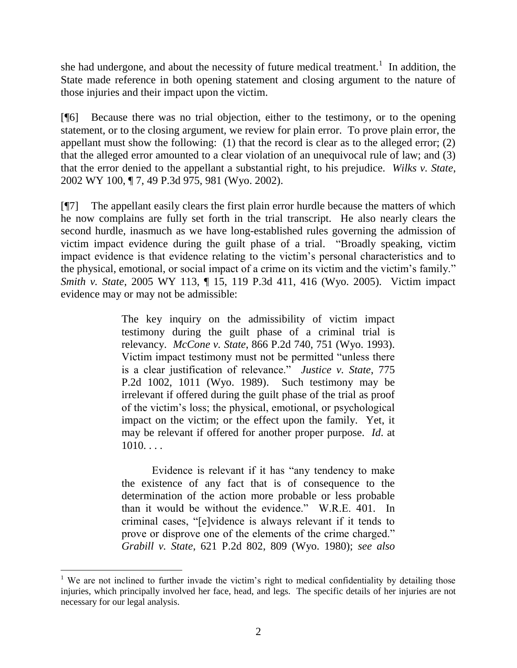she had undergone, and about the necessity of future medical treatment.<sup>1</sup> In addition, the State made reference in both opening statement and closing argument to the nature of those injuries and their impact upon the victim.

[¶6] Because there was no trial objection, either to the testimony, or to the opening statement, or to the closing argument, we review for plain error. To prove plain error, the appellant must show the following: (1) that the record is clear as to the alleged error; (2) that the alleged error amounted to a clear violation of an unequivocal rule of law; and (3) that the error denied to the appellant a substantial right, to his prejudice. *Wilks v. State*, 2002 WY 100, ¶ 7, 49 P.3d 975, 981 (Wyo. 2002).

[¶7] The appellant easily clears the first plain error hurdle because the matters of which he now complains are fully set forth in the trial transcript. He also nearly clears the second hurdle, inasmuch as we have long-established rules governing the admission of victim impact evidence during the guilt phase of a trial. "Broadly speaking, victim impact evidence is that evidence relating to the victim"s personal characteristics and to the physical, emotional, or social impact of a crime on its victim and the victim"s family." *Smith v. State*, 2005 WY 113, ¶ 15, 119 P.3d 411, 416 (Wyo. 2005). Victim impact evidence may or may not be admissible:

> The key inquiry on the admissibility of victim impact testimony during the guilt phase of a criminal trial is relevancy. *McCone v. State*, 866 P.2d 740, 751 (Wyo. 1993). Victim impact testimony must not be permitted "unless there is a clear justification of relevance." *Justice v. State*, 775 P.2d 1002, 1011 (Wyo. 1989). Such testimony may be irrelevant if offered during the guilt phase of the trial as proof of the victim"s loss; the physical, emotional, or psychological impact on the victim; or the effect upon the family. Yet, it may be relevant if offered for another proper purpose. *Id*. at  $1010...$

> Evidence is relevant if it has "any tendency to make the existence of any fact that is of consequence to the determination of the action more probable or less probable than it would be without the evidence." W.R.E. 401. In criminal cases, "[e]vidence is always relevant if it tends to prove or disprove one of the elements of the crime charged." *Grabill v. State*, 621 P.2d 802, 809 (Wyo. 1980); *see also*

 <sup>1</sup> We are not inclined to further invade the victim's right to medical confidentiality by detailing those injuries, which principally involved her face, head, and legs. The specific details of her injuries are not necessary for our legal analysis.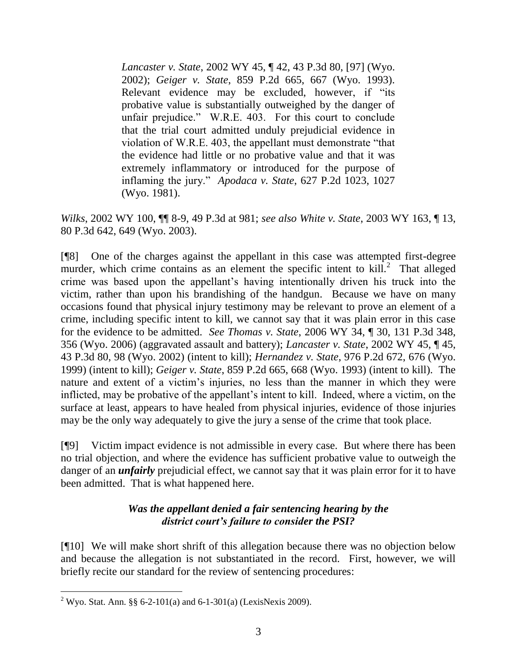*Lancaster v. State*, 2002 WY 45, ¶ 42, 43 P.3d 80, [97] (Wyo. 2002); *Geiger v. State*, 859 P.2d 665, 667 (Wyo. 1993). Relevant evidence may be excluded, however, if "its probative value is substantially outweighed by the danger of unfair prejudice." W.R.E. 403. For this court to conclude that the trial court admitted unduly prejudicial evidence in violation of W.R.E. 403, the appellant must demonstrate "that the evidence had little or no probative value and that it was extremely inflammatory or introduced for the purpose of inflaming the jury." *Apodaca v. State*, 627 P.2d 1023, 1027 (Wyo. 1981).

*Wilks*, 2002 WY 100, ¶¶ 8-9, 49 P.3d at 981; *see also White v. State*, 2003 WY 163, ¶ 13, 80 P.3d 642, 649 (Wyo. 2003).

[¶8] One of the charges against the appellant in this case was attempted first-degree murder, which crime contains as an element the specific intent to  $\text{kill.}^2$ . That alleged crime was based upon the appellant"s having intentionally driven his truck into the victim, rather than upon his brandishing of the handgun. Because we have on many occasions found that physical injury testimony may be relevant to prove an element of a crime, including specific intent to kill, we cannot say that it was plain error in this case for the evidence to be admitted. *See Thomas v. State*, 2006 WY 34, ¶ 30, 131 P.3d 348, 356 (Wyo. 2006) (aggravated assault and battery); *Lancaster v. State*, 2002 WY 45, ¶ 45, 43 P.3d 80, 98 (Wyo. 2002) (intent to kill); *Hernandez v. State*, 976 P.2d 672, 676 (Wyo. 1999) (intent to kill); *Geiger v. State*, 859 P.2d 665, 668 (Wyo. 1993) (intent to kill). The nature and extent of a victim"s injuries, no less than the manner in which they were inflicted, may be probative of the appellant"s intent to kill. Indeed, where a victim, on the surface at least, appears to have healed from physical injuries, evidence of those injuries may be the only way adequately to give the jury a sense of the crime that took place.

[¶9] Victim impact evidence is not admissible in every case. But where there has been no trial objection, and where the evidence has sufficient probative value to outweigh the danger of an *unfairly* prejudicial effect, we cannot say that it was plain error for it to have been admitted. That is what happened here.

# *Was the appellant denied a fair sentencing hearing by the district court's failure to consider the PSI?*

[¶10] We will make short shrift of this allegation because there was no objection below and because the allegation is not substantiated in the record. First, however, we will briefly recite our standard for the review of sentencing procedures:

<sup>&</sup>lt;sup>2</sup> Wyo. Stat. Ann. §§ 6-2-101(a) and 6-1-301(a) (LexisNexis 2009).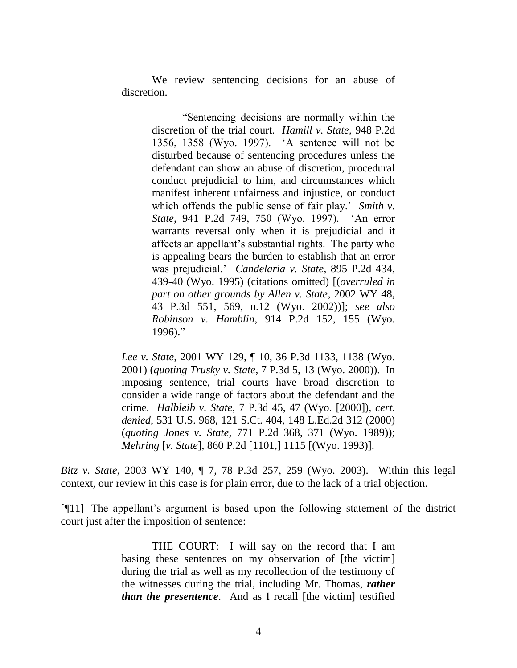We review sentencing decisions for an abuse of discretion.

> "Sentencing decisions are normally within the discretion of the trial court. *Hamill v. State*, 948 P.2d 1356, 1358 (Wyo. 1997). "A sentence will not be disturbed because of sentencing procedures unless the defendant can show an abuse of discretion, procedural conduct prejudicial to him, and circumstances which manifest inherent unfairness and injustice, or conduct which offends the public sense of fair play.' *Smith v. State*, 941 P.2d 749, 750 (Wyo. 1997). "An error warrants reversal only when it is prejudicial and it affects an appellant"s substantial rights. The party who is appealing bears the burden to establish that an error was prejudicial." *Candelaria v. State*, 895 P.2d 434, 439-40 (Wyo. 1995) (citations omitted) [(*overruled in part on other grounds by Allen v. State*, 2002 WY 48, 43 P.3d 551, 569, n.12 (Wyo. 2002))]; *see also Robinson v. Hamblin*, 914 P.2d 152, 155 (Wyo.  $1996$ )."

*Lee v. State*, 2001 WY 129, ¶ 10, 36 P.3d 1133, 1138 (Wyo. 2001) (*quoting Trusky v. State*, 7 P.3d 5, 13 (Wyo. 2000)). In imposing sentence, trial courts have broad discretion to consider a wide range of factors about the defendant and the crime. *Halbleib v. State*, 7 P.3d 45, 47 (Wyo. [2000]), *cert. denied*, 531 U.S. 968, 121 S.Ct. 404, 148 L.Ed.2d 312 (2000) (*quoting Jones v. State*, 771 P.2d 368, 371 (Wyo. 1989)); *Mehring* [*v. State*], 860 P.2d [1101,] 1115 [(Wyo. 1993)].

*Bitz v. State*, 2003 WY 140, ¶ 7, 78 P.3d 257, 259 (Wyo. 2003). Within this legal context, our review in this case is for plain error, due to the lack of a trial objection.

[¶11] The appellant"s argument is based upon the following statement of the district court just after the imposition of sentence:

> THE COURT: I will say on the record that I am basing these sentences on my observation of [the victim] during the trial as well as my recollection of the testimony of the witnesses during the trial, including Mr. Thomas, *rather than the presentence*. And as I recall [the victim] testified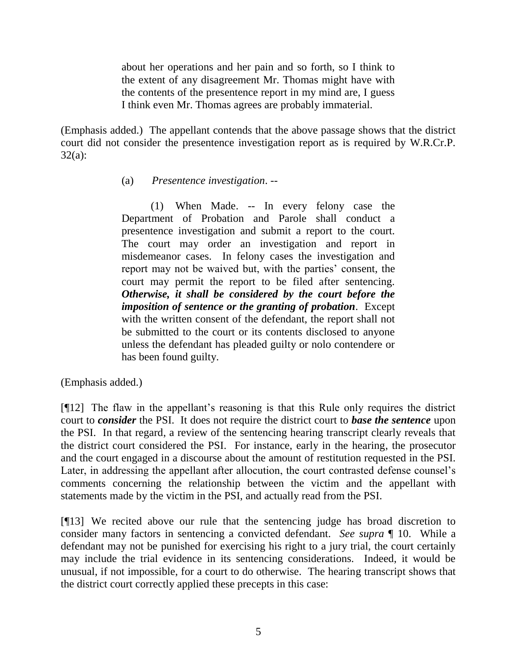about her operations and her pain and so forth, so I think to the extent of any disagreement Mr. Thomas might have with the contents of the presentence report in my mind are, I guess I think even Mr. Thomas agrees are probably immaterial.

(Emphasis added.) The appellant contends that the above passage shows that the district court did not consider the presentence investigation report as is required by W.R.Cr.P. 32(a):

## (a) *Presentence investigation*. --

(1) When Made. -- In every felony case the Department of Probation and Parole shall conduct a presentence investigation and submit a report to the court. The court may order an investigation and report in misdemeanor cases. In felony cases the investigation and report may not be waived but, with the parties' consent, the court may permit the report to be filed after sentencing. *Otherwise, it shall be considered by the court before the imposition of sentence or the granting of probation*. Except with the written consent of the defendant, the report shall not be submitted to the court or its contents disclosed to anyone unless the defendant has pleaded guilty or nolo contendere or has been found guilty.

(Emphasis added.)

[¶12] The flaw in the appellant"s reasoning is that this Rule only requires the district court to *consider* the PSI. It does not require the district court to *base the sentence* upon the PSI. In that regard, a review of the sentencing hearing transcript clearly reveals that the district court considered the PSI. For instance, early in the hearing, the prosecutor and the court engaged in a discourse about the amount of restitution requested in the PSI. Later, in addressing the appellant after allocution, the court contrasted defense counsel's comments concerning the relationship between the victim and the appellant with statements made by the victim in the PSI, and actually read from the PSI.

[¶13] We recited above our rule that the sentencing judge has broad discretion to consider many factors in sentencing a convicted defendant. *See supra* ¶ 10. While a defendant may not be punished for exercising his right to a jury trial, the court certainly may include the trial evidence in its sentencing considerations. Indeed, it would be unusual, if not impossible, for a court to do otherwise. The hearing transcript shows that the district court correctly applied these precepts in this case: